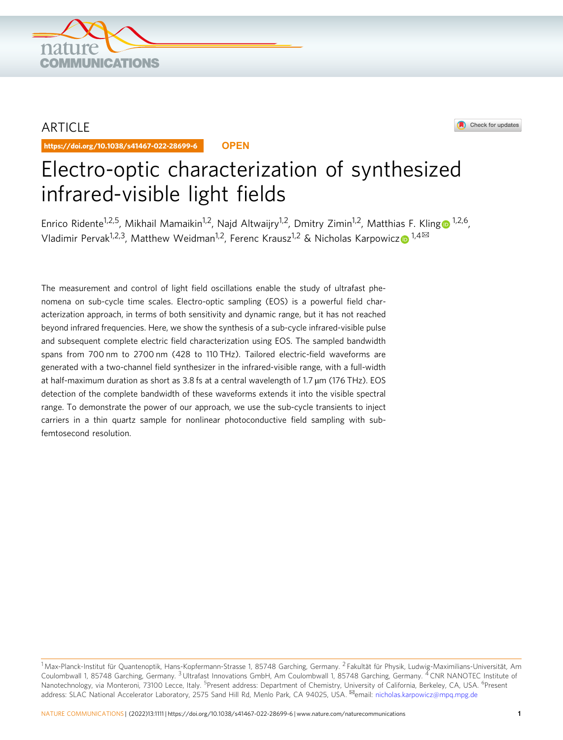

# ARTICLE

https://doi.org/10.1038/s41467-022-28699-6 **OPEN**



# Electro-optic characterization of synthesized infrared-visible light fields

Enrico Ridente<sup>1,2,5</sup>, Mikhail Mamaikin<sup>1,2</sup>, Najd Altwaijry<sup>1,2</sup>, Dmitry Zimin<sup>1,2</sup>, Matthias F. Klin[g](http://orcid.org/0000-0002-1710-0775) <sup>[1](http://orcid.org/0000-0002-1710-0775),2,6</sup>, Vladimir Pervak<sup>1,2,3</sup>, Matthew Weidman<sup>1,2</sup>, Ferenc Kraus[z](http://orcid.org/0000-0003-3137-3144)<sup>1,2</sup> & Nicholas Karpowicz  $\bullet$ <sup>1,4 $\boxtimes$ </sup>

The measurement and control of light field oscillations enable the study of ultrafast phenomena on sub-cycle time scales. Electro-optic sampling (EOS) is a powerful field characterization approach, in terms of both sensitivity and dynamic range, but it has not reached beyond infrared frequencies. Here, we show the synthesis of a sub-cycle infrared-visible pulse and subsequent complete electric field characterization using EOS. The sampled bandwidth spans from 700 nm to 2700 nm (428 to 110 THz). Tailored electric-field waveforms are generated with a two-channel field synthesizer in the infrared-visible range, with a full-width at half-maximum duration as short as 3.8 fs at a central wavelength of 1.7 um (176 THz). EOS detection of the complete bandwidth of these waveforms extends it into the visible spectral range. To demonstrate the power of our approach, we use the sub-cycle transients to inject carriers in a thin quartz sample for nonlinear photoconductive field sampling with subfemtosecond resolution.

<sup>&</sup>lt;sup>1</sup> Max-Planck-Institut für Quantenoptik, Hans-Kopfermann-Strasse 1, 85748 Garching, Germany. <sup>2</sup> Fakultät für Physik, Ludwig-Maximilians-Universität, Am Coulombwall 1, 85748 Garching, Germany. <sup>3</sup> Ultrafast Innovations GmbH, Am Coulombwall 1, 85748 Garching, Germany. <sup>4</sup> CNR NANOTEC Institute of Nanotechnology, via Monteroni, 73100 Lecce, Italy. <sup>5</sup>Present address: Department of Chemistry, University of California, Berkeley, CA, USA. <sup>6</sup>Present address: SLAC National Accelerator Laboratory, 2575 Sand Hill Rd, Menlo Park, CA 94025, USA. <sup>⊠</sup>email: [nicholas.karpowicz@mpq.mpg.de](mailto:nicholas.karpowicz@mpq.mpg.de)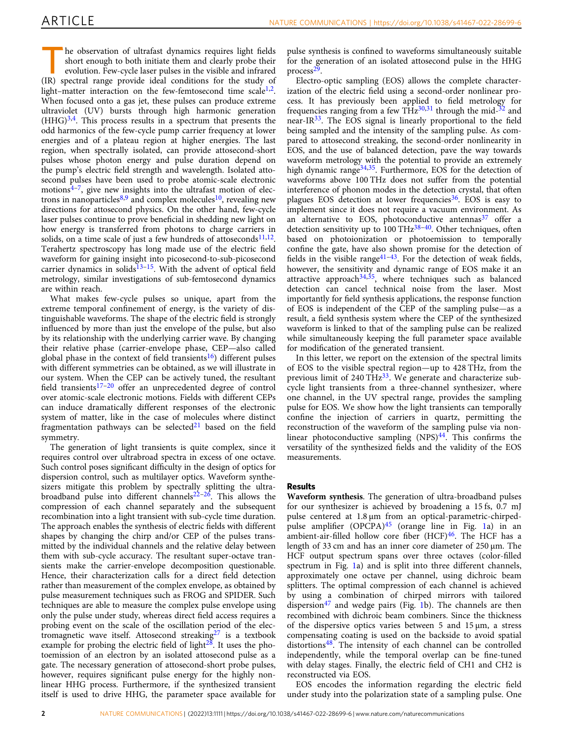he observation of ultrafast dynamics requires light fields short enough to both initiate them and clearly probe their evolution. Few-cycle laser pulses in the visible and infrared (IR) spectral range provide ideal conditions for the study of light–matter interaction on the few-femtosecond time scale<sup>[1](#page-5-0),2</sup>. When focused onto a gas jet, these pulses can produce extreme ultraviolet (UV) bursts through high harmonic generation  $(HHG)^{3,4}$ . This process results in a spectrum that presents the odd harmonics of the few-cycle pump carrier frequency at lower energies and of a plateau region at higher energies. The last region, when spectrally isolated, can provide attosecond-short pulses whose photon energy and pulse duration depend on the pump's electric field strength and wavelength. Isolated attosecond pulses have been used to probe atomic-scale electronic motions $4-7$  $4-7$ , give new insights into the ultrafast motion of elec-trons in nanoparticles<sup>[8,9](#page-5-0)</sup> and complex molecules<sup>10</sup>, revealing new directions for attosecond physics. On the other hand, few-cycle laser pulses continue to prove beneficial in shedding new light on how energy is transferred from photons to charge carriers in solids, on a time scale of just a few hundreds of attoseconds<sup>11,12</sup>. Terahertz spectroscopy has long made use of the electric field waveform for gaining insight into picosecond-to-sub-picosecond carrier dynamics in solids $13-15$  $13-15$  $13-15$ . With the advent of optical field metrology, similar investigations of sub-femtosecond dynamics are within reach.

What makes few-cycle pulses so unique, apart from the extreme temporal confinement of energy, is the variety of distinguishable waveforms. The shape of the electric field is strongly influenced by more than just the envelope of the pulse, but also by its relationship with the underlying carrier wave. By changing their relative phase (carrier-envelope phase, CEP—also called global phase in the context of field transients<sup>[16](#page-5-0)</sup>) different pulses with different symmetries can be obtained, as we will illustrate in our system. When the CEP can be actively tuned, the resultant field transients<sup>[17](#page-5-0)–[20](#page-5-0)</sup> offer an unprecedented degree of control over atomic-scale electronic motions. Fields with different CEPs can induce dramatically different responses of the electronic system of matter, like in the case of molecules where distinct fragmentation pathways can be selected $21$  based on the field symmetry.

The generation of light transients is quite complex, since it requires control over ultrabroad spectra in excess of one octave. Such control poses significant difficulty in the design of optics for dispersion control, such as multilayer optics. Waveform synthesizers mitigate this problem by spectrally splitting the ultra-broadband pulse into different channels<sup>[22](#page-5-0)–26</sup>. This allows the compression of each channel separately and the subsequent recombination into a light transient with sub-cycle time duration. The approach enables the synthesis of electric fields with different shapes by changing the chirp and/or CEP of the pulses transmitted by the individual channels and the relative delay between them with sub-cycle accuracy. The resultant super-octave transients make the carrier-envelope decomposition questionable. Hence, their characterization calls for a direct field detection rather than measurement of the complex envelope, as obtained by pulse measurement techniques such as FROG and SPIDER. Such techniques are able to measure the complex pulse envelope using only the pulse under study, whereas direct field access requires a probing event on the scale of the oscillation period of the electromagnetic wave itself. Attosecond streaking $27$  is a textbook example for probing the electric field of light $28$ . It uses the photoemission of an electron by an isolated attosecond pulse as a gate. The necessary generation of attosecond-short probe pulses, however, requires significant pulse energy for the highly nonlinear HHG process. Furthermore, if the synthesized transient itself is used to drive HHG, the parameter space available for

pulse synthesis is confined to waveforms simultaneously suitable for the generation of an isolated attosecond pulse in the HHG process[29.](#page-5-0)

Electro-optic sampling (EOS) allows the complete characterization of the electric field using a second-order nonlinear process. It has previously been applied to field metrology for frequencies ranging from a few  $THz^{30,31}$  $THz^{30,31}$  $THz^{30,31}$  through the mid- $32$  and near-IR $33$ . The EOS signal is linearly proportional to the field being sampled and the intensity of the sampling pulse. As compared to attosecond streaking, the second-order nonlinearity in EOS, and the use of balanced detection, pave the way towards waveform metrology with the potential to provide an extremely high dynamic range $34,35$  $34,35$  $34,35$ . Furthermore, EOS for the detection of waveforms above 100 THz does not suffer from the potential interference of phonon modes in the detection crystal, that often plagues EOS detection at lower frequencies  $36$ . EOS is easy to implement since it does not require a vacuum environment. As an alternative to EOS, photoconductive antennas $37$  offer a detection sensitivity up to 100 TH $z^{38-40}$  $z^{38-40}$  $z^{38-40}$  $z^{38-40}$  $z^{38-40}$ . Other techniques, often based on photoionization or photoemission to temporally confine the gate, have also shown promise for the detection of fields in the visible range $41-43$  $41-43$  $41-43$ . For the detection of weak fields, however, the sensitivity and dynamic range of EOS make it an attractive approach $34,35$ , where techniques such as balanced detection can cancel technical noise from the laser. Most importantly for field synthesis applications, the response function of EOS is independent of the CEP of the sampling pulse—as a result, a field synthesis system where the CEP of the synthesized waveform is linked to that of the sampling pulse can be realized while simultaneously keeping the full parameter space available for modification of the generated transient.

In this letter, we report on the extension of the spectral limits of EOS to the visible spectral region—up to 428 THz, from the previous limit of 240 THz<sup>33</sup>. We generate and characterize subcycle light transients from a three-channel synthesizer, where one channel, in the UV spectral range, provides the sampling pulse for EOS. We show how the light transients can temporally confine the injection of carriers in quartz, permitting the reconstruction of the waveform of the sampling pulse via nonlinear photoconductive sampling  $(NPS)^{44}$  $(NPS)^{44}$  $(NPS)^{44}$ . This confirms the versatility of the synthesized fields and the validity of the EOS measurements.

# Results

Waveform synthesis. The generation of ultra-broadband pulses for our synthesizer is achieved by broadening a 15 fs, 0.7 mJ pulse centered at 1.8 μm from an optical-parametric-chirpedpulse amplifier (OPCPA)[45](#page-5-0) (orange line in Fig. [1a](#page-2-0)) in an ambient-air-filled hollow core fiber  $(HCF)<sup>46</sup>$ . The HCF has a length of 33 cm and has an inner core diameter of 250 μm. The HCF output spectrum spans over three octaves (color-filled spectrum in Fig. [1](#page-2-0)a) and is split into three different channels, approximately one octave per channel, using dichroic beam splitters. The optimal compression of each channel is achieved by using a combination of chirped mirrors with tailored dispersion<sup>[47](#page-5-0)</sup> and wedge pairs (Fig. [1b](#page-2-0)). The channels are then recombined with dichroic beam combiners. Since the thickness of the dispersive optics varies between 5 and  $15 \mu m$ , a stress compensating coating is used on the backside to avoid spatial distortions<sup>48</sup>. The intensity of each channel can be controlled independently, while the temporal overlap can be fine-tuned with delay stages. Finally, the electric field of CH1 and CH2 is reconstructed via EOS.

EOS encodes the information regarding the electric field under study into the polarization state of a sampling pulse. One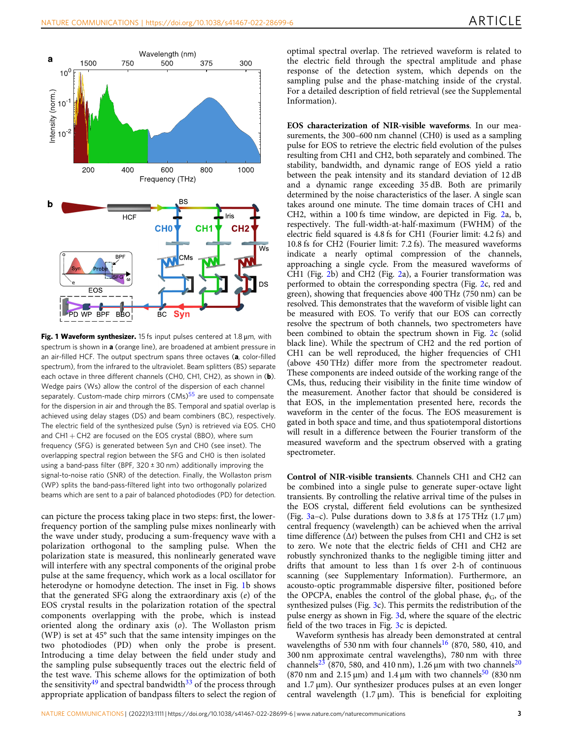<span id="page-2-0"></span>

Fig. 1 Waveform synthesizer. 15 fs input pulses centered at 1.8  $\mu$ m, with spectrum is shown in a (orange line), are broadened at ambient pressure in an air-filled HCF. The output spectrum spans three octaves (a, color-filled spectrum), from the infrared to the ultraviolet. Beam splitters (BS) separate each octave in three different channels (CH0, CH1, CH2), as shown in (b). Wedge pairs (Ws) allow the control of the dispersion of each channel separately. Custom-made chirp mirrors  $(CMs)^{55}$  $(CMs)^{55}$  $(CMs)^{55}$  are used to compensate for the dispersion in air and through the BS. Temporal and spatial overlap is achieved using delay stages (DS) and beam combiners (BC), respectively. The electric field of the synthesized pulse (Syn) is retrieved via EOS. CH0 and  $CH1 + CH2$  are focused on the EOS crystal (BBO), where sum frequency (SFG) is generated between Syn and CH0 (see inset). The overlapping spectral region between the SFG and CH0 is then isolated using a band-pass filter (BPF,  $320 \pm 30$  nm) additionally improving the signal-to-noise ratio (SNR) of the detection. Finally, the Wollaston prism (WP) splits the band-pass-filtered light into two orthogonally polarized beams which are sent to a pair of balanced photodiodes (PD) for detection.

can picture the process taking place in two steps: first, the lowerfrequency portion of the sampling pulse mixes nonlinearly with the wave under study, producing a sum-frequency wave with a polarization orthogonal to the sampling pulse. When the polarization state is measured, this nonlinearly generated wave will interfere with any spectral components of the original probe pulse at the same frequency, which work as a local oscillator for heterodyne or homodyne detection. The inset in Fig. 1b shows that the generated SFG along the extraordinary axis  $(e)$  of the EOS crystal results in the polarization rotation of the spectral components overlapping with the probe, which is instead oriented along the ordinary axis  $(o)$ . The Wollaston prism (WP) is set at 45° such that the same intensity impinges on the two photodiodes (PD) when only the probe is present. Introducing a time delay between the field under study and the sampling pulse subsequently traces out the electric field of the test wave. This scheme allows for the optimization of both the sensitivity<sup>[49](#page-5-0)</sup> and spectral bandwidth<sup>[33](#page-5-0)</sup> of the process through appropriate application of bandpass filters to select the region of optimal spectral overlap. The retrieved waveform is related to the electric field through the spectral amplitude and phase response of the detection system, which depends on the sampling pulse and the phase-matching inside of the crystal. For a detailed description of field retrieval (see the Supplemental Information).

EOS characterization of NIR-visible waveforms. In our measurements, the 300–600 nm channel (CH0) is used as a sampling pulse for EOS to retrieve the electric field evolution of the pulses resulting from CH1 and CH2, both separately and combined. The stability, bandwidth, and dynamic range of EOS yield a ratio between the peak intensity and its standard deviation of 12 dB and a dynamic range exceeding 35 dB. Both are primarily determined by the noise characteristics of the laser. A single scan takes around one minute. The time domain traces of CH1 and CH2, within a 100 fs time window, are depicted in Fig. [2](#page-3-0)a, b, respectively. The full-width-at-half-maximum (FWHM) of the electric field squared is 4.8 fs for CH1 (Fourier limit: 4.2 fs) and 10.8 fs for CH2 (Fourier limit: 7.2 fs). The measured waveforms indicate a nearly optimal compression of the channels, approaching a single cycle. From the measured waveforms of CH1 (Fig. [2](#page-3-0)b) and CH2 (Fig. [2](#page-3-0)a), a Fourier transformation was performed to obtain the corresponding spectra (Fig. [2c](#page-3-0), red and green), showing that frequencies above 400 THz (750 nm) can be resolved. This demonstrates that the waveform of visible light can be measured with EOS. To verify that our EOS can correctly resolve the spectrum of both channels, two spectrometers have been combined to obtain the spectrum shown in Fig. [2c](#page-3-0) (solid black line). While the spectrum of CH2 and the red portion of CH1 can be well reproduced, the higher frequencies of CH1 (above 450 THz) differ more from the spectrometer readout. These components are indeed outside of the working range of the CMs, thus, reducing their visibility in the finite time window of the measurement. Another factor that should be considered is that EOS, in the implementation presented here, records the waveform in the center of the focus. The EOS measurement is gated in both space and time, and thus spatiotemporal distortions will result in a difference between the Fourier transform of the measured waveform and the spectrum observed with a grating spectrometer.

Control of NIR-visible transients. Channels CH1 and CH2 can be combined into a single pulse to generate super-octave light transients. By controlling the relative arrival time of the pulses in the EOS crystal, different field evolutions can be synthesized (Fig. [3a](#page-4-0)–c). Pulse durations down to 3.8 fs at 175 THz  $(1.7 \,\mu m)$ central frequency (wavelength) can be achieved when the arrival time difference  $(\Delta t)$  between the pulses from CH1 and CH2 is set to zero. We note that the electric fields of CH1 and CH2 are robustly synchronized thanks to the negligible timing jitter and drifts that amount to less than 1 fs over 2-h of continuous scanning (see Supplementary Information). Furthermore, an acousto-optic programmable dispersive filter, positioned before the OPCPA, enables the control of the global phase,  $\phi_G$ , of the synthesized pulses (Fig. [3](#page-4-0)c). This permits the redistribution of the pulse energy as shown in Fig. [3d](#page-4-0), where the square of the electric field of the two traces in Fig. [3c](#page-4-0) is depicted.

Waveform synthesis has already been demonstrated at central wavelengths of 530 nm with four channels<sup>[16](#page-5-0)</sup> (870, 580, 410, and 300 nm approximate central wavelengths), 780 nm with three channels<sup>[23](#page-5-0)</sup> (870, 580, and 410 nm), 1.26  $\mu$ m with two channels<sup>[20](#page-5-0)</sup> (870 nm and 2.15  $\mu$ m) and 1.4  $\mu$ m with two channels<sup>[50](#page-5-0)</sup> (830 nm and 1.7 μm). Our synthesizer produces pulses at an even longer central wavelength (1.7 μm). This is beneficial for exploiting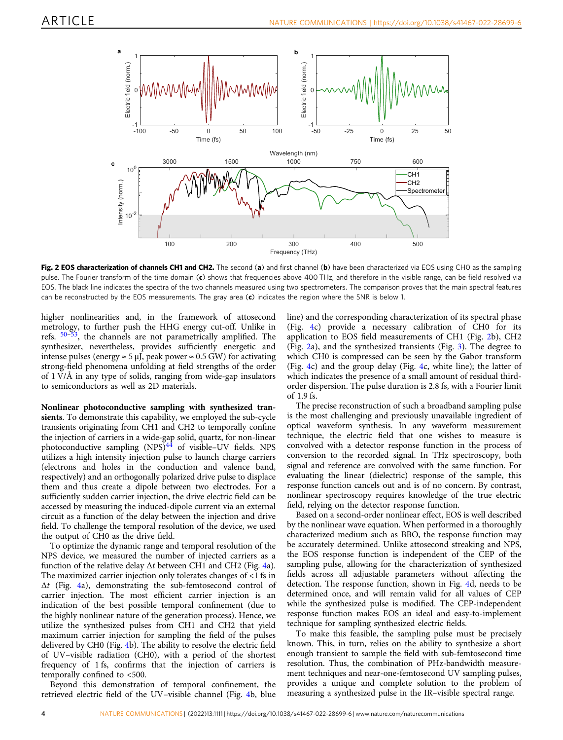<span id="page-3-0"></span>

Fig. 2 EOS characterization of channels CH1 and CH2. The second (a) and first channel (b) have been characterized via EOS using CH0 as the sampling pulse. The Fourier transform of the time domain (c) shows that frequencies above 400 THz, and therefore in the visible range, can be field resolved via EOS. The black line indicates the spectra of the two channels measured using two spectrometers. The comparison proves that the main spectral features can be reconstructed by the EOS measurements. The gray area  $(c)$  indicates the region where the SNR is below 1.

higher nonlinearities and, in the framework of attosecond metrology, to further push the HHG energy cut-off. Unlike in refs.  $50-\overline{53}$  $50-\overline{53}$  $50-\overline{53}$  $50-\overline{53}$ , the channels are not parametrically amplified. The synthesizer, nevertheless, provides sufficiently energetic and intense pulses (energy  $\approx$  5 µJ, peak power  $\approx$  0.5 GW) for activating strong-field phenomena unfolding at field strengths of the order of 1 V/Å in any type of solids, ranging from wide-gap insulators to semiconductors as well as 2D materials.

Nonlinear photoconductive sampling with synthesized transients. To demonstrate this capability, we employed the sub-cycle transients originating from CH1 and CH2 to temporally confine the injection of carriers in a wide-gap solid, quartz, for non-linear photoconductive sampling  $(NPS)^{44}$  $(NPS)^{44}$  $(NPS)^{44}$  of visible–UV fields. NPS utilizes a high intensity injection pulse to launch charge carriers (electrons and holes in the conduction and valence band, respectively) and an orthogonally polarized drive pulse to displace them and thus create a dipole between two electrodes. For a sufficiently sudden carrier injection, the drive electric field can be accessed by measuring the induced-dipole current via an external circuit as a function of the delay between the injection and drive field. To challenge the temporal resolution of the device, we used the output of CH0 as the drive field.

To optimize the dynamic range and temporal resolution of the NPS device, we measured the number of injected carriers as a function of the relative delay  $\Delta t$  between CH1 and CH2 (Fig. [4](#page-4-0)a). The maximized carrier injection only tolerates changes of <1 fs in Δt (Fig. [4](#page-4-0)a), demonstrating the sub-femtosecond control of carrier injection. The most efficient carrier injection is an indication of the best possible temporal confinement (due to the highly nonlinear nature of the generation process). Hence, we utilize the synthesized pulses from CH1 and CH2 that yield maximum carrier injection for sampling the field of the pulses delivered by CH0 (Fig. [4b](#page-4-0)). The ability to resolve the electric field of UV–visible radiation (CH0), with a period of the shortest frequency of 1 fs, confirms that the injection of carriers is temporally confined to <500.

Beyond this demonstration of temporal confinement, the retrieved electric field of the UV–visible channel (Fig. [4b](#page-4-0), blue line) and the corresponding characterization of its spectral phase (Fig. [4](#page-4-0)c) provide a necessary calibration of CH0 for its application to EOS field measurements of CH1 (Fig. 2b), CH2 (Fig. 2a), and the synthesized transients (Fig. [3\)](#page-4-0). The degree to which CH0 is compressed can be seen by the Gabor transform (Fig. [4c](#page-4-0)) and the group delay (Fig. [4](#page-4-0)c, white line); the latter of which indicates the presence of a small amount of residual thirdorder dispersion. The pulse duration is 2.8 fs, with a Fourier limit of 1.9 fs.

The precise reconstruction of such a broadband sampling pulse is the most challenging and previously unavailable ingredient of optical waveform synthesis. In any waveform measurement technique, the electric field that one wishes to measure is convolved with a detector response function in the process of conversion to the recorded signal. In THz spectroscopy, both signal and reference are convolved with the same function. For evaluating the linear (dielectric) response of the sample, this response function cancels out and is of no concern. By contrast, nonlinear spectroscopy requires knowledge of the true electric field, relying on the detector response function.

Based on a second-order nonlinear effect, EOS is well described by the nonlinear wave equation. When performed in a thoroughly characterized medium such as BBO, the response function may be accurately determined. Unlike attosecond streaking and NPS, the EOS response function is independent of the CEP of the sampling pulse, allowing for the characterization of synthesized fields across all adjustable parameters without affecting the detection. The response function, shown in Fig. [4d](#page-4-0), needs to be determined once, and will remain valid for all values of CEP while the synthesized pulse is modified. The CEP-independent response function makes EOS an ideal and easy-to-implement technique for sampling synthesized electric fields.

To make this feasible, the sampling pulse must be precisely known. This, in turn, relies on the ability to synthesize a short enough transient to sample the field with sub-femtosecond time resolution. Thus, the combination of PHz-bandwidth measurement techniques and near-one-femtosecond UV sampling pulses, provides a unique and complete solution to the problem of measuring a synthesized pulse in the IR–visible spectral range.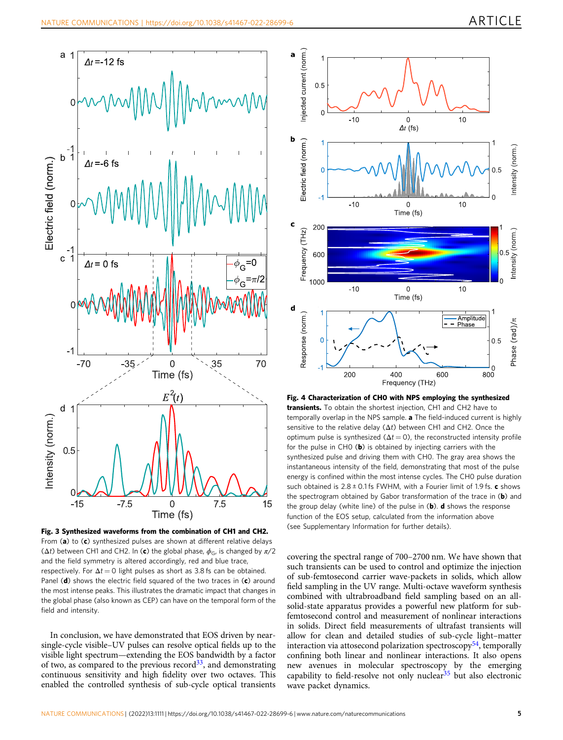<span id="page-4-0"></span>



In conclusion, we have demonstrated that EOS driven by nearsingle-cycle visible–UV pulses can resolve optical fields up to the visible light spectrum—extending the EOS bandwidth by a factor of two, as compared to the previous record<sup>33</sup>, and demonstrating continuous sensitivity and high fidelity over two octaves. This enabled the controlled synthesis of sub-cycle optical transients



Fig. 4 Characterization of CH0 with NPS employing the synthesized transients. To obtain the shortest injection, CH1 and CH2 have to temporally overlap in the NPS sample. a The field-induced current is highly sensitive to the relative delay (Δt) between CH1 and CH2. Once the optimum pulse is synthesized ( $\Delta t = 0$ ), the reconstructed intensity profile for the pulse in  $CHO$  (b) is obtained by injecting carriers with the synthesized pulse and driving them with CH0. The gray area shows the instantaneous intensity of the field, demonstrating that most of the pulse energy is confined within the most intense cycles. The CH0 pulse duration such obtained is  $2.8 \pm 0.1$  fs FWHM, with a Fourier limit of 1.9 fs. c shows the spectrogram obtained by Gabor transformation of the trace in  $(b)$  and the group delay (white line) of the pulse in  $(b)$ . **d** shows the response function of the EOS setup, calculated from the information above (see Supplementary Information for further details).

covering the spectral range of 700–2700 nm. We have shown that such transients can be used to control and optimize the injection of sub-femtosecond carrier wave-packets in solids, which allow field sampling in the UV range. Multi-octave waveform synthesis combined with ultrabroadband field sampling based on an allsolid-state apparatus provides a powerful new platform for subfemtosecond control and measurement of nonlinear interactions in solids. Direct field measurements of ultrafast transients will allow for clean and detailed studies of sub-cycle light–matter interaction via attosecond polarization spectroscopy<sup>54</sup>, temporally confining both linear and nonlinear interactions. It also opens new avenues in molecular spectroscopy by the emerging capability to field-resolve not only nuclear<sup>[35](#page-5-0)</sup> but also electronic wave packet dynamics.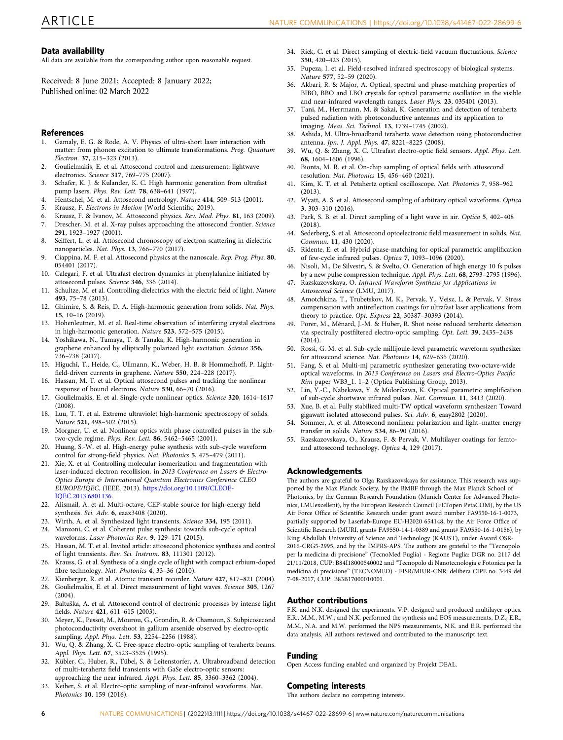### <span id="page-5-0"></span>Data availability

All data are available from the corresponding author upon reasonable request.

Received: 8 June 2021; Accepted: 8 January 2022; Published online: 02 March 2022

#### **References**

- 1. Gamaly, E. G. & Rode, A. V. Physics of ultra-short laser interaction with matter: from phonon excitation to ultimate transformations. Prog. Quantum Electron. 37, 215–323 (2013).
- 2. Goulielmakis, E. et al. Attosecond control and measurement: lightwave electronics. Science 317, 769–775 (2007).
- 3. Schafer, K. J. & Kulander, K. C. High harmonic generation from ultrafast pump lasers. Phys. Rev. Lett. 78, 638-641 (1997).
- 4. Hentschel, M. et al. Attosecond metrology. *Nature* **414**, 509–513 (2001).<br>5. Krausz E. *Flectrons in Motion* (World Scientific 2019).
- 5. Krausz, F. Electrons in Motion (World Scientific, 2019).
- 6. Krausz, F. & Ivanov, M. Attosecond physics. Rev. Mod. Phys. 81, 163 (2009).
- 7. Drescher, M. et al. X-ray pulses approaching the attosecond frontier. Science 291, 1923–1927 (2001).
- 8. Seiffert, L. et al. Attosecond chronoscopy of electron scattering in dielectric nanoparticles. Nat. Phys. 13, 766–770 (2017).
- 9. Ciappina, M. F. et al. Attosecond physics at the nanoscale. Rep. Prog. Phys. 80, 054401 (2017).
- 10. Calegari, F. et al. Ultrafast electron dynamics in phenylalanine initiated by attosecond pulses. Science 346, 336 (2014).
- 11. Schultze, M. et al. Controlling dielectrics with the electric field of light. Nature 493, 75–78 (2013).
- 12. Ghimire, S. & Reis, D. A. High-harmonic generation from solids. Nat. Phys. 15, 10–16 (2019).
- 13. Hohenleutner, M. et al. Real-time observation of interfering crystal electrons in high-harmonic generation. Nature 523, 572–575 (2015).
- Yoshikawa, N., Tamaya, T. & Tanaka, K. High-harmonic generation in graphene enhanced by elliptically polarized light excitation. Science 356, 736–738 (2017).
- 15. Higuchi, T., Heide, C., Ullmann, K., Weber, H. B. & Hommelhoff, P. Lightfield-driven currents in graphene. Nature 550, 224–228 (2017).
- 16. Hassan, M. T. et al. Optical attosecond pulses and tracking the nonlinear response of bound electrons. Nature 530, 66–70 (2016).
- 17. Goulielmakis, E. et al. Single-cycle nonlinear optics. Science 320, 1614–1617  $(2008)$
- 18. Luu, T. T. et al. Extreme ultraviolet high-harmonic spectroscopy of solids. Nature 521, 498–502 (2015).
- 19. Morgner, U. et al. Nonlinear optics with phase-controlled pulses in the subtwo-cycle regime. Phys. Rev. Lett. 86, 5462–5465 (2001).
- 20. Huang, S.-W. et al. High-energy pulse synthesis with sub-cycle waveform control for strong-field physics. Nat. Photonics 5, 475–479 (2011).
- 21. Xie, X. et al. Controlling molecular isomerization and fragmentation with laser-induced electron recollision. in 2013 Conference on Lasers & Electro-Optics Europe & International Quantum Electronics Conference CLEO EUROPE/IQEC. (IEEE, 2013). [https://doi.org/10.1109/CLEOE-](https://doi.org/10.1109/CLEOE-IQEC.2013.6801136)[IQEC.2013.6801136](https://doi.org/10.1109/CLEOE-IQEC.2013.6801136).
- 22. Alismail, A. et al. Multi-octave, CEP-stable source for high-energy field synthesis. Sci. Adv. 6, eaax3408 (2020).
- 23. Wirth, A. et al. Synthesized light transients. Science 334, 195 (2011).
- 24. Manzoni, C. et al. Coherent pulse synthesis: towards sub-cycle optical waveforms. Laser Photonics Rev. 9, 129-171 (2015).
- 25. Hassan, M. T. et al. Invited article: attosecond photonics: synthesis and control of light transients. Rev. Sci. Instrum. 83, 111301 (2012).
- 26. Krauss, G. et al. Synthesis of a single cycle of light with compact erbium-doped fibre technology. Nat. Photonics 4, 33–36 (2010).
- 27. Kienberger, R. et al. Atomic transient recorder. Nature 427, 817–821 (2004).
- 28. Goulielmakis, E. et al. Direct measurement of light waves. Science 305, 1267 (2004).
- 29. Baltuška, A. et al. Attosecond control of electronic processes by intense light fields. Nature 421, 611–615 (2003).
- 30. Meyer, K., Pessot, M., Mourou, G., Grondin, R. & Chamoun, S. Subpicosecond photoconductivity overshoot in gallium arsenide observed by electro‐optic sampling. Appl. Phys. Lett. 53, 2254–2256 (1988).
- 31. Wu, Q. & Zhang, X. C. Free‐space electro‐optic sampling of terahertz beams. Appl. Phys. Lett. 67, 3523–3525 (1995).
- 32. Kübler, C., Huber, R., Tübel, S. & Leitenstorfer, A. Ultrabroadband detection of multi-terahertz field transients with GaSe electro-optic sensors: approaching the near infrared. Appl. Phys. Lett. 85, 3360–3362 (2004).
- 33. Keiber, S. et al. Electro-optic sampling of near-infrared waveforms. Nat. Photonics 10, 159 (2016).
- 34. Riek, C. et al. Direct sampling of electric-field vacuum fluctuations. Science 350, 420–423 (2015).
- 35. Pupeza, I. et al. Field-resolved infrared spectroscopy of biological systems. Nature 577, 52–59 (2020).
- 36. Akbari, R. & Major, A. Optical, spectral and phase-matching properties of BIBO, BBO and LBO crystals for optical parametric oscillation in the visible and near-infrared wavelength ranges. Laser Phys. 23, 035401 (2013).
- 37. Tani, M., Herrmann, M. & Sakai, K. Generation and detection of terahertz pulsed radiation with photoconductive antennas and its application to imaging. Meas. Sci. Technol. 13, 1739–1745 (2002).
- 38. Ashida, M. Ultra-broadband terahertz wave detection using photoconductive antenna. Jpn. J. Appl. Phys. 47, 8221–8225 (2008).
- 39. Wu, Q. & Zhang, X. C. Ultrafast electro‐optic field sensors. Appl. Phys. Lett. 68, 1604–1606 (1996).
- 40. Bionta, M. R. et al. On-chip sampling of optical fields with attosecond resolution. Nat. Photonics 15, 456–460 (2021).
- 41. Kim, K. T. et al. Petahertz optical oscilloscope. Nat. Photonics 7, 958–962 (2013).
- 42. Wyatt, A. S. et al. Attosecond sampling of arbitrary optical waveforms. Optica 3, 303–310 (2016).
- 43. Park, S. B. et al. Direct sampling of a light wave in air. Optica 5, 402–408 (2018).
- 44. Sederberg, S. et al. Attosecond optoelectronic field measurement in solids. Nat. Commun. 11, 430 (2020).
- 45. Ridente, E. et al. Hybrid phase-matching for optical parametric amplification of few-cycle infrared pulses. Optica 7, 1093–1096 (2020).
- 46. Nisoli, M., De Silvestri, S. & Svelto, O. Generation of high energy 10 fs pulses by a new pulse compression technique. Appl. Phys. Lett. 68, 2793–2795 (1996).
- 47. Razskazovskaya, O. Infrared Waveform Synthesis for Applications in Attosecond Science (LMU, 2017).
- 48. Amotchkina, T., Trubetskov, M. K., Pervak, Y., Veisz, L. & Pervak, V. Stress compensation with antireflection coatings for ultrafast laser applications: from theory to practice. Opt. Express 22, 30387–30393 (2014).
- 49. Porer, M., Ménard, J.-M. & Huber, R. Shot noise reduced terahertz detection via spectrally postfiltered electro-optic sampling. Opt. Lett. 39, 2435–2438 (2014).
- 50. Rossi, G. M. et al. Sub-cycle millijoule-level parametric waveform synthesizer for attosecond science. Nat. Photonics 14, 629–635 (2020).
- 51. Fang, S. et al. Multi-mj parametric synthesizer generating two-octave-wide optical waveforms. in 2013 Conference on Lasers and Electro-Optics Pacific Rim paper WB3\_1. 1–2 (Optica Publishing Group, 2013).
- 52. Lin, Y.-C., Nabekawa, Y. & Midorikawa, K. Optical parametric amplification of sub-cycle shortwave infrared pulses. Nat. Commun. 11, 3413 (2020).
- 53. Xue, B. et al. Fully stabilized multi-TW optical waveform synthesizer: Toward gigawatt isolated attosecond pulses. Sci. Adv. 6, eaay2802 (2020).
- 54. Sommer, A. et al. Attosecond nonlinear polarization and light–matter energy transfer in solids. Nature 534, 86–90 (2016).
- 55. Razskazovskaya, O., Krausz, F. & Pervak, V. Multilayer coatings for femtoand attosecond technology. Optica 4, 129 (2017).

#### Acknowledgements

The authors are grateful to Olga Razskazovskaya for assistance. This research was supported by the Max Planck Society, by the BMBF through the Max Planck School of Photonics, by the German Research Foundation (Munich Center for Advanced Photonics, LMUexcellent), by the European Research Council (FETopen PetaCOM), by the US Air Force Office of Scientific Research under grant award number FA9550-16-1-0073, partially supported by Laserlab-Europe EU-H2020 654148, by the Air Force Office of Scientific Research (MURI, grant# FA9550-14-1-0389 and grant# FA9550-16-1-0156), by King Abdullah University of Science and Technology (KAUST), under Award OSR-2016-CRG5-2995, and by the IMPRS-APS. The authors are grateful to the "Tecnopolo per la medicina di precisione" (TecnoMed Puglia) - Regione Puglia: DGR no. 2117 del 21/11/2018, CUP: B84I18000540002 and "Tecnopolo di Nanotecnologia e Fotonica per la medicina di precisione" (TECNOMED) - FISR/MIUR-CNR: delibera CIPE no. 3449 del 7-08-2017, CUP: B83B17000010001.

#### Author contributions

F.K. and N.K. designed the experiments. V.P. designed and produced multilayer optics. E.R., M.M., M.W., and N.K. performed the synthesis and EOS measurements, D.Z., E.R., M.M., N.A. and M.W. performed the NPS measurements, N.K. and E.R. performed the data analysis. All authors reviewed and contributed to the manuscript text.

#### Funding

Open Access funding enabled and organized by Projekt DEAL.

# Competing interests

The authors declare no competing interests.